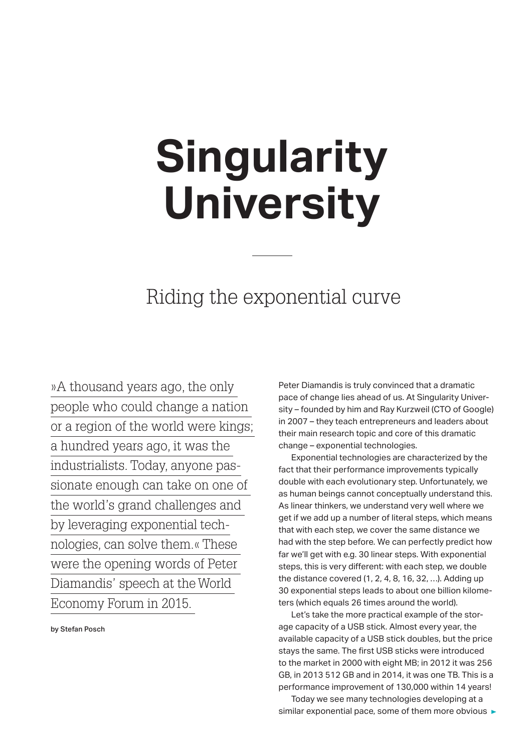# **Singularity University**

# Riding the exponential curve

»A thousand years ago, the only people who could change a nation or a region of the world were kings; a hundred years ago, it was the industrialists. Today, anyone passionate enough can take on one of the world's grand challenges and by leveraging exponential technologies, can solve them.« These were the opening words of Peter Diamandis' speech at the World Economy Forum in 2015.

by Stefan Posch

Peter Diamandis is truly convinced that a dramatic pace of change lies ahead of us. At Singularity University – founded by him and Ray Kurzweil (CTO of Google) in 2007 – they teach entrepreneurs and leaders about their main research topic and core of this dramatic change – exponential technologies.

 Exponential technologies are characterized by the fact that their performance improvements typically double with each evolutionary step. Unfortunately, we as human beings cannot conceptually understand this. As linear thinkers, we understand very well where we get if we add up a number of literal steps, which means that with each step, we cover the same distance we had with the step before. We can perfectly predict how far we'll get with e.g. 30 linear steps. With exponential steps, this is very different: with each step, we double the distance covered (1, 2, 4, 8, 16, 32, …). Adding up 30 exponential steps leads to about one billion kilometers (which equals 26 times around the world).

 Let's take the more practical example of the storage capacity of a USB stick. Almost every year, the available capacity of a USB stick doubles, but the price stays the same. The first USB sticks were introduced to the market in 2000 with eight MB; in 2012 it was 256 GB, in 2013 512 GB and in 2014, it was one TB. This is a performance improvement of 130,000 within 14 years!

 Today we see many technologies developing at a similar exponential pace, some of them more obvious  $\blacktriangleright$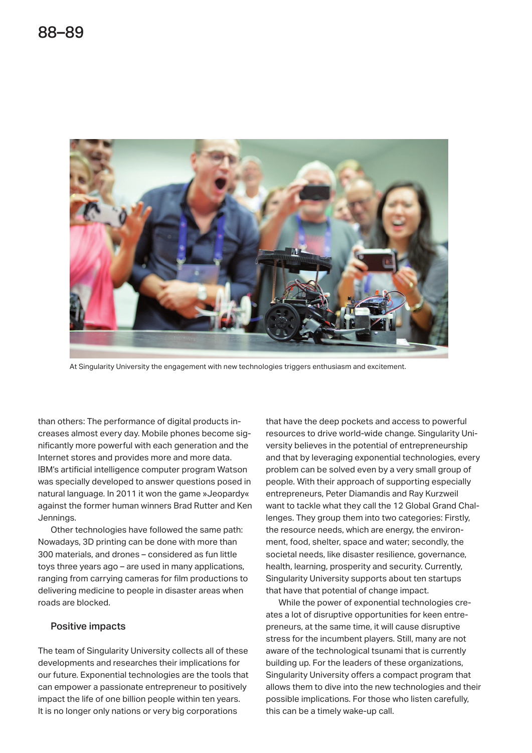

At Singularity University the engagement with new technologies triggers enthusiasm and excitement.

than others: The performance of digital products increases almost every day. Mobile phones become significantly more powerful with each generation and the Internet stores and provides more and more data. IBM's artificial intelligence computer program Watson was specially developed to answer questions posed in natural language. In 2011 it won the game »Jeopardy« against the former human winners Brad Rutter and Ken Jennings.

 Other technologies have followed the same path: Nowadays, 3D printing can be done with more than 300 materials, and drones – considered as fun little toys three years ago – are used in many applications, ranging from carrying cameras for film productions to delivering medicine to people in disaster areas when roads are blocked.

#### Positive impacts

The team of Singularity University collects all of these developments and researches their implications for our future. Exponential technologies are the tools that can empower a passionate entrepreneur to positively impact the life of one billion people within ten years. It is no longer only nations or very big corporations

that have the deep pockets and access to powerful resources to drive world-wide change. Singularity University believes in the potential of entrepreneurship and that by leveraging exponential technologies, every problem can be solved even by a very small group of people. With their approach of supporting especially entrepreneurs, Peter Diamandis and Ray Kurzweil want to tackle what they call the 12 Global Grand Challenges. They group them into two categories: Firstly, the resource needs, which are energy, the environment, food, shelter, space and water; secondly, the societal needs, like disaster resilience, governance, health, learning, prosperity and security. Currently, Singularity University supports about ten startups that have that potential of change impact.

 While the power of exponential technologies creates a lot of disruptive opportunities for keen entrepreneurs, at the same time, it will cause disruptive stress for the incumbent players. Still, many are not aware of the technological tsunami that is currently building up. For the leaders of these organizations, Singularity University offers a compact program that allows them to dive into the new technologies and their possible implications. For those who listen carefully, this can be a timely wake-up call.